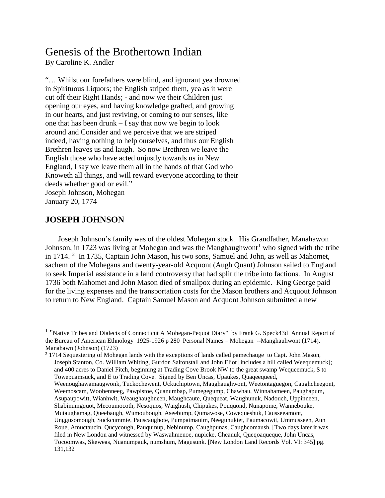# Genesis of the Brothertown Indian

By Caroline K. Andler

"… Whilst our forefathers were blind, and ignorant yea drowned in Spirituous Liquors; the English striped them, yea as it were cut off their Right Hands; - and now we their Children just opening our eyes, and having knowledge grafted, and growing in our hearts, and just reviving, or coming to our senses, like one that has been drunk – I say that now we begin to look around and Consider and we perceive that we are striped indeed, having nothing to help ourselves, and thus our English Brethren leaves us and laugh. So now Brethren we leave the English those who have acted unjustly towards us in New England, I say we leave them all in the hands of that God who Knoweth all things, and will reward everyone according to their deeds whether good or evil." Joseph Johnson, Mohegan January 20, 1774

# **JOSEPH JOHNSON**

Joseph Johnson's family was of the oldest Mohegan stock. His Grandfather, Manahawon Johnson, in [1](#page-0-0)723 was living at Mohegan and was the Manghaughwont<sup>1</sup> who signed with the tribe in 1714.  $2 \text{ In } 1735$  $2 \text{ In } 1735$ , Captain John Mason, his two sons, Samuel and John, as well as Mahomet, sachem of the Mohegans and twenty-year-old Acquont (Augh Quant) Johnson sailed to England to seek Imperial assistance in a land controversy that had split the tribe into factions. In August 1736 both Mahomet and John Mason died of smallpox during an epidemic. King George paid for the living expenses and the transportation costs for the Mason brothers and Acquout Johnson to return to New England. Captain Samuel Mason and Acquont Johnson submitted a new

<span id="page-0-1"></span> $2$  1714 Sequestering of Mohegan lands with the exceptions of lands called pamechauge to Capt. John Mason, Joseph Stanton, Co. William Whiting, Gurdon Saltonstall and John Eliot [includes a hill called Weequemuck]; and 400 acres to Daniel Fitch, beginning at Trading Cove Brook NW to the great swamp Wequeemuck, S to Towepuamsuck, and E to Trading Cove. Signed by Ben Uncas, Upaukes, Quaqeequeed, Weenoughawamaugwonk, Tuckochewent, Uckuchiptown, Maughaughwont, Weetontaguegon, Caughcheegont, Weemoscam, Woobenneeg, Pawpistoe, Quanumbap, Pumegegump, Chawhau, Winnahameen, Paughapum, Asupaupowitt, Wianhwit, Weaughaughneen, Maughcaute, Quequeat, Waughunuk, Nadouch, Uppinneen, Shabinumgquot, Mecoumocoth, Nesoquos, Waighush, Chipukes, Pouquond, Nunapome, Wannebouke, Mutaughamag, Queebaugh, Wumoubough, Aseebump, Qumawose, Cowequeshuk, Causseeamont, Unggusomough, Suckcummie, Pauscaughote, Pumpaimauim, Neegunukiet, Paumacowit, Ummusseen, Aun Roue, Amuctaucin, Qucycough, Pauquinup, Nebinump, Caughpunas, Caughcomaush. [Two days later it was filed in New London and witnessed by Waswahmenoe, nupicke, Cheanuk, Queqoaqueque, John Uncas, Tocoomwas, Skeweas, Nuanumpauk, numshum, Magusunk. [New London Land Records Vol. VI: 345] pg. 131,132

<span id="page-0-0"></span><sup>&</sup>lt;sup>1</sup> "Native Tribes and Dialects of Connecticut A Mohegan-Pequot Diary" by Frank G. Speck43d Annual Report of the Bureau of American Ethnology 1925-1926 p 280 Personal Names – Mohegan --Manghauhwont (1714), Manahawn (Johnson) (1723)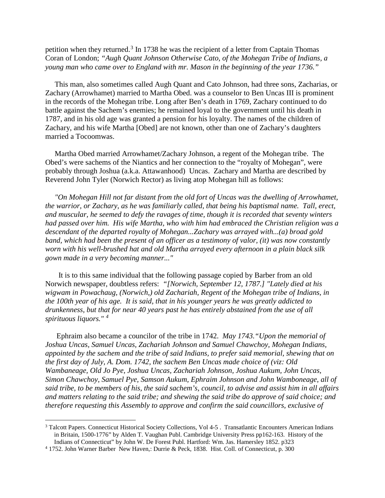petition when they returned.<sup>[3](#page-1-0)</sup> In 1738 he was the recipient of a letter from Captain Thomas Coran of London; *"Augh Quant Johnson Otherwise Cato, of the Mohegan Tribe of Indians, a young man who came over to England with mr. Mason in the beginning of the year 1736."* 

 This man, also sometimes called Augh Quant and Cato Johnson, had three sons, Zacharias, or Zachary (Arrowhamet) married to Martha Obed. was a counselor to Ben Uncas III is prominent in the records of the Mohegan tribe. Long after Ben's death in 1769, Zachary continued to do battle against the Sachem's enemies; he remained loyal to the government until his death in 1787, and in his old age was granted a pension for his loyalty. The names of the children of Zachary, and his wife Martha [Obed] are not known, other than one of Zachary's daughters married a Tocoomwas.

 Martha Obed married Arrowhamet/Zachary Johnson, a regent of the Mohegan tribe. The Obed's were sachems of the Niantics and her connection to the "royalty of Mohegan", were probably through Joshua (a.k.a. Attawanhood) Uncas. Zachary and Martha are described by Reverend John Tyler (Norwich Rector) as living atop Mohegan hill as follows:

 *"On Mohegan Hill not far distant from the old fort of Uncas was the dwelling of Arrowhamet, the warrior, or Zachary, as he was familiarly called, that being his baptismal name. Tall, erect, and muscular, he seemed to defy the ravages of time, though it is recorded that seventy winters had passed over him. His wife Martha, who with him had embraced the Christian religion was a descendant of the departed royalty of Mohegan...Zachary was arrayed with...(a) broad gold band, which had been the present of an officer as a testimony of valor, (it) was now constantly worn with his well-brushed hat and old Martha arrayed every afternoon in a plain black silk gown made in a very becoming manner..."*

It is to this same individual that the following passage copied by Barber from an old Norwich newspaper, doubtless refers: *"[Norwich, September 12, 1787.] "Lately died at his wigwam in Powachaug, (Norwich,) old Zachariah, Regent of the Mohegan tribe of Indians, in the 100th year of his age. It is said, that in his younger years he was greatly addicted to drunkenness, but that for near 40 years past he has entirely abstained from the use of all spirituous liquors." [4](#page-1-1)*

 Ephraim also became a councilor of the tribe in 1742. *May 1743."Upon the memorial of Joshua Uncas, Samuel Uncas, Zachariah Johnson and Samuel Chawchoy, Mohegan Indians, appointed by the sachem and the tribe of said Indians, to prefer said memorial, shewing that on the first day of July, A. Dom. 1742, the sachem Ben Uncas made choice of (viz: Old Wambaneage, Old Jo Pye, Joshua Uncas, Zachariah Johnson, Joshua Aukum, John Uncas, Simon Chawchoy, Samuel Pye, Samson Aukum, Ephraim Johnson and John Wamboneage, all of said tribe, to be members of his, the said sachem's, council, to advise and assist him in all affairs and matters relating to the said tribe; and shewing the said tribe do approve of said choice; and therefore requesting this Assembly to approve and confirm the said councillors, exclusive of* 

<span id="page-1-0"></span> <sup>3</sup> Talcott Papers. Connecticut Historical Society Collections, Vol 4-5 . Transatlantic Encounters American Indians in Britain, 1500-1776" by Alden T. Vaughan Publ. Cambridge University Press pp162-163. History of the Indians of Connecticut" by John W. De Forest Publ. Hartford: Wm. Jas. Hamersley 1852. p323

<span id="page-1-1"></span><sup>4</sup> 1752. John Warner Barber New Haven,: Durrie & Peck, 1838. Hist. Coll. of Connecticut, p. 300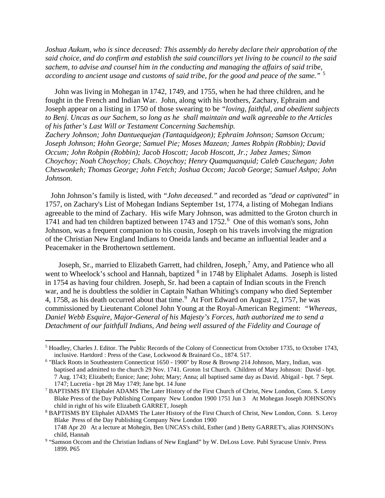*Joshua Aukum, who is since deceased: This assembly do hereby declare their approbation of the said choice, and do confirm and establish the said councillors yet living to be council to the said sachem, to advise and counsel him in the conducting and managing the affairs of said tribe, according to ancient usage and customs of said tribe, for the good and peace of the same."* [5](#page-2-0)

 John was living in Mohegan in 1742, 1749, and 1755, when he had three children, and he fought in the French and Indian War. John, along with his brothers, Zachary, Ephraim and Joseph appear on a listing in 1750 of those swearing to be *"loving, faithful, and obedient subjects to Benj. Uncas as our Sachem, so long as he shall maintain and walk agreeable to the Articles of his father's Last Will or Testament Concerning Sachemship.* 

*Zachery Johnson; John Dantuequejan (Tantaquidgeon); Ephraim Johnson; Samson Occum; Joseph Johnson; Hohn George; Samuel Pie; Moses Mazean; James Robpin (Robbin); David Occum; John Robpin (Robbin); Jacob Hoscott; Jacob Hoscott, Jr.; Jabez James; Simon Choychoy; Noah Choychoy; Chals. Choychoy; Henry Quamquanquid; Caleb Cauchegan; John Cheswonkeh; Thomas George; John Fetch; Joshua Occom; Jacob George; Samuel Ashpo; John Johnson.*

 John Johnson's family is listed, with *"John deceased."* and recorded as *"dead or captivated"* in 1757, on Zachary's List of Mohegan Indians September 1st, 1774, a listing of Mohegan Indians agreeable to the mind of Zachary. His wife Mary Johnson, was admitted to the Groton church in 1741 and had ten children baptized between 1743 and 1752.<sup>[6](#page-2-1)</sup> One of this woman's sons, John Johnson, was a frequent companion to his cousin, Joseph on his travels involving the migration of the Christian New England Indians to Oneida lands and became an influential leader and a Peacemaker in the Brothertown settlement.

Joseph, Sr., married to Elizabeth Garrett, had children, Joseph,<sup>[7](#page-2-2)</sup> Amy, and Patience who all went to Wheelock's school and Hannah, baptized  $8$  in 1748 by Eliphalet Adams. Joseph is listed in 1754 as having four children. Joseph, Sr. had been a captain of Indian scouts in the French war, and he is doubtless the soldier in Captain Nathan Whiting's company who died September 4, 1758, as his death occurred about that time.<sup>[9](#page-2-4)</sup> At Fort Edward on August 2, 1757, he was commissioned by Lieutenant Colonel John Young at the Royal-American Regiment: *"Whereas, Daniel Webb Esquire, Major-General of his Majesty's Forces, hath authorized me to send a Detachment of our faithfull Indians, And being well assured of the Fidelity and Courage of* 

<span id="page-2-0"></span> <sup>5</sup> Hoadley, Charles J. Editor. The Public Records of the Colony of Connecticut from October 1735, to October 1743, inclusive. Hartdord : Press of the Case, Lockwood & Brainard Co., 1874. 517.

<span id="page-2-1"></span><sup>6</sup> "Black Roots in Southeastern Connecticut 1650 - 1900" by Rose & Brownp 214 Johnson, Mary, Indian, was baptised and admitted to the church 29 Nov. 1741. Groton 1st Church. Children of Mary Johnson: David - bpt. 7 Aug. 1743; Elizabeth; Eunice; Jane; John; Mary; Anna; all baptised same day as David. Abigail - bpt. 7 Sept. 1747; Lucretia - bpt 28 May 1749; Jane bpt. 14 June

<span id="page-2-2"></span><sup>7</sup> BAPTISMS BY Eliphalet ADAMS The Later History of the First Church of Christ, New London, Conn. S. Leroy Blake Press of the Day Publishing Company New London 1900 1751 Jun 3 At Mohegan Joseph JOHNSON's child in right of his wife Elizabeth GARRET, Joseph

<span id="page-2-3"></span><sup>8</sup> BAPTISMS BY Eliphalet ADAMS The Later History of the First Church of Christ, New London, Conn. S. Leroy Blake Press of the Day Publishing Company New London 1900

<sup>1748</sup> Apr 20 At a lecture at Mohegin, Ben UNCAS's child, Esther (and ) Betty GARRET's, alias JOHNSON's child, Hannah

<span id="page-2-4"></span><sup>9</sup> "Samson Occom and the Christian Indians of New England" by W. DeLoss Love. Publ Syracuse Unniv. Press 1899. P65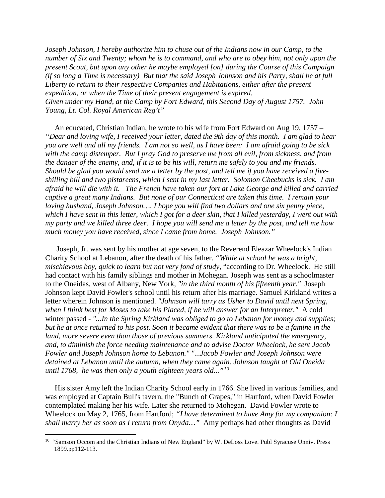*Joseph Johnson, I hereby authorize him to chuse out of the Indians now in our Camp, to the number of Six and Twenty; whom he is to command, and who are to obey him, not only upon the present Scout, but upon any other he maybe employed [on] during the Course of this Campaign (if so long a Time is necessary) But that the said Joseph Johnson and his Party, shall be at full Liberty to return to their respective Companies and Habitations, either after the present expedition, or when the Time of their present engagement is expired. Given under my Hand, at the Camp by Fort Edward, this Second Day of August 1757. John Young, Lt. Col. Royal American Reg't"*

 An educated, Christian Indian, he wrote to his wife from Fort Edward on Aug 19, 1757 – *"Dear and loving wife, I received your letter, dated the 9th day of this month. I am glad to hear you are well and all my friends. I am not so well, as I have been: I am afraid going to be sick with the camp distemper. But I pray God to preserve me from all evil, from sickness, and from the danger of the enemy, and, if it is to be his will, return me safely to you and my friends. Should be glad you would send me a letter by the post, and tell me if you have received a fiveshilling bill and two pistareens, which I sent in my last letter. Solomon Cheebucks is sick. I am afraid he will die with it. The French have taken our fort at Lake George and killed and carried captive a great many Indians. But none of our Connecticut are taken this time. I remain your loving husband, Joseph Johnson…. I hope you will find two dollars and one six penny piece, which I have sent in this letter, which I got for a deer skin, that I killed yesterday, I went out with my party and we killed three deer. I hope you will send me a letter by the post, and tell me how much money you have received, since I came from home. Joseph Johnson."* 

Joseph, Jr. was sent by his mother at age seven, to the Reverend Eleazar Wheelock's Indian Charity School at Lebanon, after the death of his father. *"While at school he was a bright, mischievous boy, quick to learn but not very fond of study,* "according to Dr. Wheelock. He still had contact with his family siblings and mother in Mohegan. Joseph was sent as a schoolmaster to the Oneidas, west of Albany, New York, *"in the third month of his fifteenth year."* Joseph Johnson kept David Fowler's school until his return after his marriage. Samuel Kirkland writes a letter wherein Johnson is mentioned. *"Johnson will tarry as Usher to David until next Spring, when I think best for Moses to take his Placed, if he will answer for an Interpreter."* A cold winter passed - *"...In the Spring Kirkland was obliged to go to Lebanon for money and supplies; but he at once returned to his post. Soon it became evident that there was to be a famine in the land, more severe even than those of previous summers. Kirkland anticipated the emergency, and, to diminish the force needing maintenance and to advise Doctor Wheelock, he sent Jacob Fowler and Joseph Johnson home to Lebanon." "...Jacob Fowler and Joseph Johnson were detained at Lebanon until the autumn, when they came again. Johnson taught at Old Oneida until 1768, he was then only a youth eighteen years old..."[10](#page-3-0)*

His sister Amy left the Indian Charity School early in 1766. She lived in various families, and was employed at Captain Bull's tavern, the "Bunch of Grapes," in Hartford, when David Fowler contemplated making her his wife. Later she returned to Mohegan. David Fowler wrote to Wheelock on May 2, 1765, from Hartford; *"I have determined to have Amy for my companion: I shall marry her as soon as I return from Onyda…"* Amy perhaps had other thoughts as David

<span id="page-3-0"></span><sup>&</sup>lt;sup>10</sup> "Samson Occom and the Christian Indians of New England" by W. DeLoss Love. Publ Syracuse Unniv. Press 1899.pp112-113.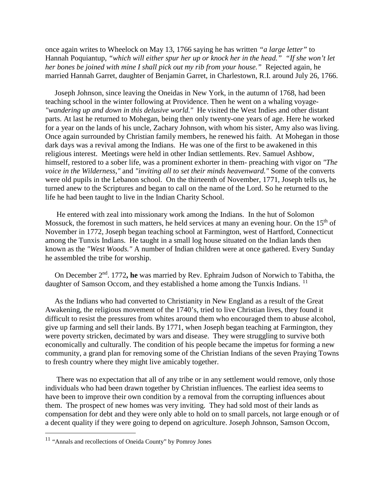once again writes to Wheelock on May 13, 1766 saying he has written *"a large letter"* to Hannah Poquiantup, *"which will either spur her up or knock her in the head." "If she won't let her bones be joined with mine I shall pick out my rib from your house."* Rejected again, he married Hannah Garret, daughter of Benjamin Garret, in Charlestown, R.I. around July 26, 1766.

 Joseph Johnson, since leaving the Oneidas in New York, in the autumn of 1768, had been teaching school in the winter following at Providence. Then he went on a whaling voyage- *"wandering up and down in this delusive world."* He visited the West Indies and other distant parts. At last he returned to Mohegan, being then only twenty-one years of age. Here he worked for a year on the lands of his uncle, Zachary Johnson, with whom his sister, Amy also was living. Once again surrounded by Christian family members, he renewed his faith. At Mohegan in those dark days was a revival among the Indians. He was one of the first to be awakened in this religious interest. Meetings were held in other Indian settlements. Rev. Samuel Ashbow, himself, restored to a sober life, was a prominent exhorter in them- preaching with vigor on *"The voice in the Wilderness,"* and *"inviting all to set their minds heavenward."* Some of the converts were old pupils in the Lebanon school. On the thirteenth of November, 1771, Joseph tells us, he turned anew to the Scriptures and began to call on the name of the Lord. So he returned to the life he had been taught to live in the Indian Charity School.

 He entered with zeal into missionary work among the Indians. In the hut of Solomon Mossuck, the foremost in such matters, he held services at many an evening hour. On the  $15<sup>th</sup>$  of November in 1772, Joseph began teaching school at Farmington, west of Hartford, Connecticut among the Tunxis Indians. He taught in a small log house situated on the Indian lands then known as the *"West Woods."* A number of Indian children were at once gathered. Every Sunday he assembled the tribe for worship.

 On December 2nd. 1772**, he** was married by Rev. Ephraim Judson of Norwich to Tabitha, the daughter of Samson Occom, and they established a home among the Tunxis Indians.<sup>[11](#page-4-0)</sup>

 As the Indians who had converted to Christianity in New England as a result of the Great Awakening, the religious movement of the 1740's, tried to live Christian lives, they found it difficult to resist the pressures from whites around them who encouraged them to abuse alcohol, give up farming and sell their lands. By 1771, when Joseph began teaching at Farmington, they were poverty stricken, decimated by wars and disease. They were struggling to survive both economically and culturally. The condition of his people became the impetus for forming a new community, a grand plan for removing some of the Christian Indians of the seven Praying Towns to fresh country where they might live amicably together.

There was no expectation that all of any tribe or in any settlement would remove, only those individuals who had been drawn together by Christian influences. The earliest idea seems to have been to improve their own condition by a removal from the corrupting influences about them. The prospect of new homes was very inviting. They had sold most of their lands as compensation for debt and they were only able to hold on to small parcels, not large enough or of a decent quality if they were going to depend on agriculture. Joseph Johnson, Samson Occom,

<span id="page-4-0"></span> <sup>11</sup> "Annals and recollections of Oneida County" by Pomroy Jones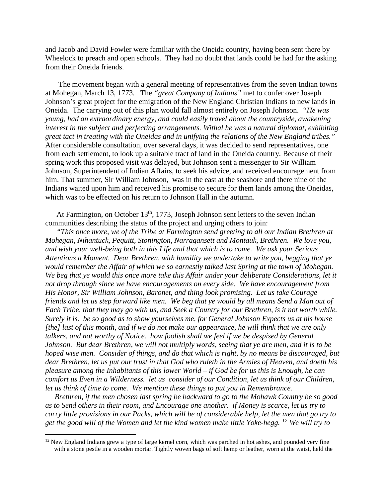and Jacob and David Fowler were familiar with the Oneida country, having been sent there by Wheelock to preach and open schools. They had no doubt that lands could be had for the asking from their Oneida friends.

 The movement began with a general meeting of representatives from the seven Indian towns at Mohegan, March 13, 1773. The *"great Company of Indians"* met to confer over Joseph Johnson's great project for the emigration of the New England Christian Indians to new lands in Oneida. The carrying out of this plan would fall almost entirely on Joseph Johnson. *"He was young, had an extraordinary energy, and could easily travel about the countryside, awakening interest in the subject and perfecting arrangements. Withal he was a natural diplomat, exhibiting great tact in treating with the Oneidas and in unifying the relations of the New England tribes."*  After considerable consultation, over several days, it was decided to send representatives, one from each settlement, to look up a suitable tract of land in the Oneida country. Because of their spring work this proposed visit was delayed, but Johnson sent a messenger to Sir William Johnson, Superintendent of Indian Affairs, to seek his advice, and received encouragement from him. That summer, Sir William Johnson, was in the east at the seashore and there nine of the Indians waited upon him and received his promise to secure for them lands among the Oneidas, which was to be effected on his return to Johnson Hall in the autumn.

At Farmington, on October  $13<sup>th</sup>$ , 1773, Joseph Johnson sent letters to the seven Indian communities describing the status of the project and urging others to join:

 *"This once more, we of the Tribe at Farmington send greeting to all our Indian Brethren at Mohegan, Nihantuck, Pequitt, Stonington, Narragansett and Montauk, Brethren. We love you, and wish your well-being both in this Life and that which is to come. We ask your Serious Attentions a Moment. Dear Brethren, with humility we undertake to write you, begging that ye would remember the Affair of which we so earnestly talked last Spring at the town of Mohegan.*  We beg that ye would this once more take this Affair under your deliberate Considerations, let it *not drop through since we have encouragements on every side. We have encouragement from His Honor, Sir William Johnson, Baronet, and thing look promising. Let us take Courage friends and let us step forward like men. We beg that ye would by all means Send a Man out of Each Tribe, that they may go with us, and Seek a Country for our Brethren, is it not worth while. Surely it is. be so good as to show yourselves me, for General Johnson Expects us at his house [the] last of this month, and if we do not make our appearance, he will think that we are only talkers, and not worthy of Notice. how foolish shall we feel if we be despised by General Johnson. But dear Brethren, we will not multiply words, seeing that ye are men, and it is to be hoped wise men. Consider of things, and do that which is right, by no means be discouraged, but dear Brethren, let us put our trust in that God who ruleth in the Armies of Heaven, and doeth his pleasure among the Inhabitants of this lower World – if God be for us this is Enough, he can comfort us Even in a Wilderness. let us consider of our Condition, let us think of our Children, let us think of time to come. We mention these things to put you in Remembrance.*

 *Brethren, if the men chosen last spring be backward to go to the Mohawk Country be so good as to Send others in their room, and Encourage one another. if Money is scarce, let us try to carry little provisions in our Packs, which will be of considerable help, let the men that go try to get the good will of the Women and let the kind women make little Yoke-hegg. [12](#page-5-0) We will try to* 

<span id="page-5-0"></span> $12$  New England Indians grew a type of large kernel corn, which was parched in hot ashes, and pounded very fine with a stone pestle in a wooden mortar. Tightly woven bags of soft hemp or leather, worn at the waist, held the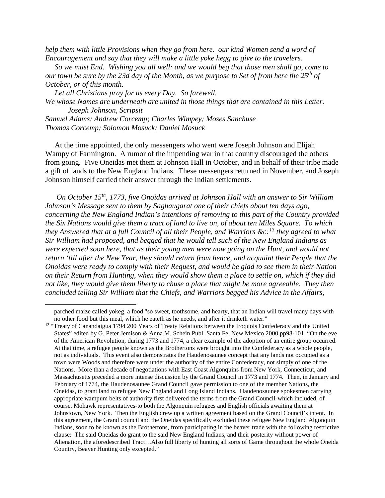*help them with little Provisions when they go from here. our kind Women send a word of Encouragement and say that they will make a little yoke hegg to give to the travelers.*

 *So we must End. Wishing you all well: and we would beg that those men shall go, come to our town be sure by the 23d day of the Month, as we purpose to Set of from here the 25th of October, or of this month.*

 *Let all Christians pray for us every Day. So farewell. We whose Names are underneath are united in those things that are contained in this Letter. Joseph Johnson, Scripsit Samuel Adams; Andrew Corcemp; Charles Wimpey; Moses Sanchuse Thomas Corcemp; Solomon Mosuck; Daniel Mosuck*

 At the time appointed, the only messengers who went were Joseph Johnson and Elijah Wampy of Farmington. A rumor of the impending war in that country discouraged the others from going. Five Oneidas met them at Johnson Hall in October, and in behalf of their tribe made a gift of lands to the New England Indians. These messengers returned in November, and Joseph Johnson himself carried their answer through the Indian settlements.

 *On October 15th, 1773, five Onoidas arrived at Johnson Hall with an answer to Sir William Johnson's Message sent to them by Saghaugarat one of their chiefs about ten days ago, concerning the New England Indian's intentions of removing to this part of the Country provided the Six Nations would give them a tract of land to live on, of about ten Miles Square. To which they Answered that at a full Council of all their People, and Warriors &c:[13](#page-6-0) they agreed to what Sir William had proposed, and begged that he would tell such of the New England Indians as were expected soon here, that as their young men were now going on the Hunt, and would not return 'till after the New Year, they should return from hence, and acquaint their People that the Onoidas were ready to comply with their Request, and would be glad to see them in their Nation on their Return from Hunting, when they would show them a place to settle on, which if they did*  not like, they would give them liberty to chuse a place that might be more agreeable. They then *concluded telling Sir William that the Chiefs, and Warriors begged his Advice in the Affairs,* 

parched maize called yokeg, a food "so sweet, toothsome, and hearty, that an Indian will travel many days with no other food but this meal, which he eateth as he needs, and after it drinketh water."

<span id="page-6-0"></span><sup>&</sup>lt;sup>13</sup> "Treaty of Canandaigua 1794 200 Years of Treaty Relations between the Iroquois Confederacy and the United States" edited by G. Peter Jemison & Anna M. Schein Publ. Santa Fe, New Mexico 2000 pp98-101 "On the eve of the American Revolution, during 1773 and 1774, a clear example of the adoption of an entire group occurred. At that time, a refugee people known as the Brothertons were brought into the Confederacy as a whole people, not as individuals. This event also demonstrates the Haudenosaunee concept that any lands not occupied as a town were Woods and therefore were under the authority of the entire Confederacy, not simply of one of the Nations. More than a decade of negotiations with East Coast Algonquins from New York, Connecticut, and Massachusetts preceded a more intense discussion by the Grand Council in 1773 and 1774. Then, in January and February of 1774, the Haudenosaunee Grand Council gave permission to one of the member Nations, the Oneidas, to grant land to refugee New England and Long Island Indians. Haudenosaunee spokesmen carrying appropriate wampum belts of authority first delivered the terms from the Grand Council-which included, of course, Mohawk representatives-to both the Algonquin refugees and English officials awaiting them at Johnstown, New York. Then the English drew up a written agreement based on the Grand Council's intent. In this agreement, the Grand council and the Oneidas specifically excluded these refugee New England Algonquin Indians, soon to be known as the Brothertons, from participating in the beaver trade with the following restrictive clause: The said Oneidas do grant to the said New England Indians, and their posterity without power of Alienation, the aforedescribed Tract…Also full liberty of hunting all sorts of Game throughout the whole Oneida Country, Beaver Hunting only excepted."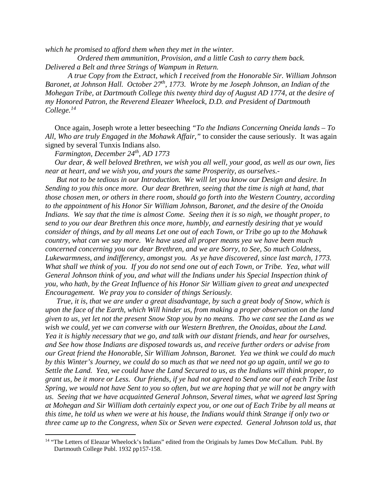*which he promised to afford them when they met in the winter.*

 *Ordered them ammunition, Provision, and a little Cash to carry them back. Delivered a Belt and three Strings of Wampum in Return.* 

*A true Copy from the Extract, which I received from the Honorable Sir. William Johnson Baronet, at Johnson Hall. October 27th, 1773. Wrote by me Joseph Johnson, an Indian of the Mohegan Tribe, at Dartmouth College this twenty third day of August AD 1774, at the desire of my Honored Patron, the Reverend Eleazer Wheelock, D.D. and President of Dartmouth College.[14](#page-7-0)*

 Once again, Joseph wrote a letter beseeching *"To the Indians Concerning Oneida lands – To All, Who are truly Engaged in the Mohawk Affair,"* to consider the cause seriously. It was again signed by several Tunxis Indians also.

 *Farmington, December 24th, AD 1773*

 *Our dear, & well beloved Brethren, we wish you all well, your good, as well as our own, lies near at heart, and we wish you, and yours the same Prosperity, as ourselves.-*

 *But not to be tedious in our Introduction. We will let you know our Design and desire. In Sending to you this once more. Our dear Brethren, seeing that the time is nigh at hand, that those chosen men, or others in there room, should go forth into the Western Country, according to the appointment of his Honor Sir William Johnson, Baronet, and the desire of the Onoida Indians. We say that the time is almost Come. Seeing then it is so nigh, we thought proper, to send to you our dear Brethren this once more, humbly, and earnestly desiring that ye would consider of things, and by all means Let one out of each Town, or Tribe go up to the Mohawk country, what can we say more. We have used all proper means yea we have been much concerned concerning you our dear Brethren, and we are Sorry, to See, So much Coldness, Lukewarmness, and indifferency, amongst you. As ye have discovered, since last march, 1773. What shall we think of you. If you do not send one out of each Town, or Tribe. Yea, what will General Johnson think of you, and what will the Indians under his Special Inspection think of you, who hath, by the Great Influence of his Honor Sir William given to great and unexpected Encouragement. We pray you to consider of things Seriously.*

 *True, it is, that we are under a great disadvantage, by such a great body of Snow, which is upon the face of the Earth, which Will hinder us, from making a proper observation on the land given to us, yet let not the present Snow Stop you by no means. Tho we cant see the Land as we wish we could, yet we can converse with our Western Brethren, the Onoidas, about the Land. Yea it is highly necessary that we go, and talk with our distant friends, and hear for ourselves, and See how those Indians are disposed towards us, and receive further orders or advise from our Great friend the Honorable, Sir William Johnson, Baronet. Yea we think we could do much by this Winter's Journey, we could do so much as that we need not go up again, until we go to Settle the Land. Yea, we could have the Land Secured to us, as the Indians will think proper, to grant us, be it more or Less. Our friends, if ye had not agreed to Send one our of each Tribe last Spring, we would not have Sent to you so often, but we are hoping that ye will not be angry with us. Seeing that we have acquainted General Johnson, Several times, what we agreed last Spring at Mohegan and Sir William doth certainly expect you, or one out of Each Tribe by all means at this time, he told us when we were at his house, the Indians would think Strange if only two or three came up to the Congress, when Six or Seven were expected. General Johnson told us, that* 

<span id="page-7-0"></span><sup>&</sup>lt;sup>14</sup> "The Letters of Eleazar Wheelock's Indians" edited from the Originals by James Dow McCallum. Publ. By Dartmouth College Publ. 1932 pp157-158.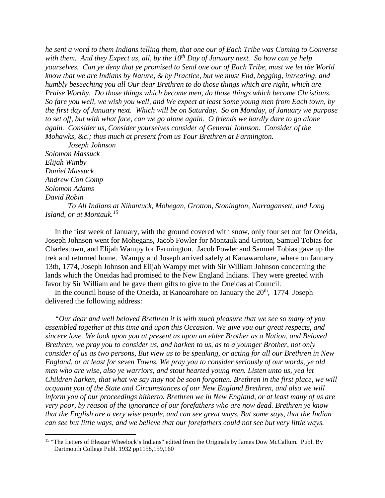*he sent a word to them Indians telling them, that one our of Each Tribe was Coming to Converse with them. And they Expect us, all, by the 10th Day of January next. So how can ye help yourselves. Can ye deny that ye promised to Send one our of Each Tribe, must we let the World know that we are Indians by Nature, & by Practice, but we must End, begging, intreating, and humbly beseeching you all Our dear Brethren to do those things which are right, which are Praise Worthy. Do those things which become men, do those things which become Christians. So fare you well, we wish you well, and We expect at least Some young men from Each town, by the first day of January next. Which will be on Saturday. So on Monday, of January we purpose to set off, but with what face, can we go alone again. O friends we hardly dare to go alone again. Consider us, Consider yourselves consider of General Johnson. Consider of the Mohawks, &c.; thus much at present from us Your Brethren at Farmington.*

*Joseph Johnson Solomon Massuck Elijah Wimby Daniel Massuck Andrew Con Comp Solomon Adams David Robin To All Indians at Nihantuck, Mohegan, Grotton, Stonington, Narragansett, and Long Island, or at Montauk.[15](#page-8-0)*

 In the first week of January, with the ground covered with snow, only four set out for Oneida, Joseph Johnson went for Mohegans, Jacob Fowler for Montauk and Groton, Samuel Tobias for Charlestown, and Elijah Wampy for Farmington. Jacob Fowler and Samuel Tobias gave up the trek and returned home. Wampy and Joseph arrived safely at Kanawarohare, where on January 13th, 1774, Joseph Johnson and Elijah Wampy met with Sir William Johnson concerning the lands which the Oneidas had promised to the New England Indians. They were greeted with favor by Sir William and he gave them gifts to give to the Oneidas at Council.

In the council house of the Oneida, at Kanoarohare on January the  $20<sup>th</sup>$ , 1774 Joseph delivered the following address:

 *"Our dear and well beloved Brethren it is with much pleasure that we see so many of you assembled together at this time and upon this Occasion. We give you our great respects, and sincere love. We look upon you at present as upon an elder Brother as a Nation, and Beloved Brethren, we pray you to consider us, and harken to us, as to a younger Brother, not only consider of us as two persons, But view us to be speaking, or acting for all our Brethren in New England, or at least for seven Towns. We pray you to consider seriously of our words, ye old men who are wise, also ye warriors, and stout hearted young men. Listen unto us, yea let Children harken, that what we say may not be soon forgotten. Brethren in the first place, we will acquaint you of the State and Circumstances of our New England Brethren, and also we will inform you of our proceedings hitherto. Brethren we in New England, or at least many of us are very poor, by reason of the ignorance of our forefathers who are now dead. Brethren ye know that the English are a very wise people, and can see great ways. But some says, that the Indian can see but little ways, and we believe that our forefathers could not see but very little ways.* 

<span id="page-8-0"></span><sup>&</sup>lt;sup>15</sup> "The Letters of Eleazar Wheelock's Indians" edited from the Originals by James Dow McCallum. Publ. By Dartmouth College Publ. 1932 pp1158,159,160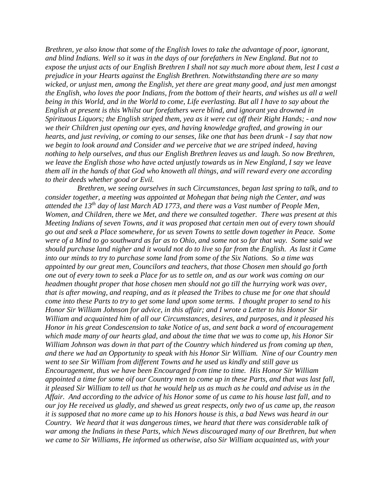*Brethren, ye also know that some of the English loves to take the advantage of poor, ignorant, and blind Indians. Well so it was in the days of our forefathers in New England. But not to expose the unjust acts of our English Brethren I shall not say much more about them, lest I cast a prejudice in your Hearts against the English Brethren. Notwithstanding there are so many wicked, or unjust men, among the English, yet there are great many good, and just men amongst the English, who loves the poor Indians, from the bottom of their hearts, and wishes us all a well being in this World, and in the World to come, Life everlasting. But all I have to say about the English at present is this Whilst our forefathers were blind, and ignorant yea drowned in Spirituous Liquors; the English striped them, yea as it were cut off their Right Hands; - and now we their Children just opening our eyes, and having knowledge grafted, and growing in our hearts, and just reviving, or coming to our senses, like one that has been drunk - I say that now we begin to look around and Consider and we perceive that we are striped indeed, having nothing to help ourselves, and thus our English Brethren leaves us and laugh. So now Brethren, we leave the English those who have acted unjustly towards us in New England, I say we leave them all in the hands of that God who knoweth all things, and will reward every one according to their deeds whether good or Evil.* 

 *Brethren, we seeing ourselves in such Circumstances, began last spring to talk, and to consider together, a meeting was appointed at Mohegan that being nigh the Center, and was attended the 13th day of last March AD 1773, and there was a Vast number of People Men, Women, and Children, there we Met, and there we consulted together. There was present at this Meeting Indians of seven Towns, and it was proposed that certain men out of every town should go out and seek a Place somewhere, for us seven Towns to settle down together in Peace. Some were of a Mind to go southward as far as to Ohio, and some not so far that way. Some said we should purchase land nigher and it would not do to live so far from the English. As last it Came into our minds to try to purchase some land from some of the Six Nations. So a time was appointed by our great men, Councilors and teachers, that those Chosen men should go forth one out of every town to seek a Place for us to settle on, and as our work was coming on our headmen thought proper that hose chosen men should not go till the hurrying work was over, that is after mowing, and reaping, and as it pleased the Tribes to chuse me for one that should come into these Parts to try to get some land upon some terms. I thought proper to send to his Honor Sir William Johnson for advice, in this affair; and I wrote a Letter to his Honor Sir William and acquainted him of all our Circumstances, desires, and purposes, and it pleased his Honor in his great Condescension to take Notice of us, and sent back a word of encouragement which made many of our hearts glad, and about the time that we was to come up, his Honor Sir William Johnson was down in that part of the Country which hindered us from coming up then, and there we had an Opportunity to speak with his Honor Sir William. Nine of our Country men went to see Sir William from different Towns and he used us kindly and still gave us Encouragement, thus we have been Encouraged from time to time. His Honor Sir William appointed a time for some oif our Country men to come up in these Parts, and that was last fall, it pleased Sir William to tell us that he would help us as much as he could and advise us in the Affair. And according to the advice of his Honor some of us came to his house last fall, and to our joy He received us gladly, and shewed us great respects, only two of us came up, the reason it is supposed that no more came up to his Honors house is this, a bad News was heard in our Country. We heard that it was dangerous times, we heard that there was considerable talk of war among the Indians in these Parts, which News discouraged many of our Brethren, but when we came to Sir Williams, He informed us otherwise, also Sir William acquainted us, with your*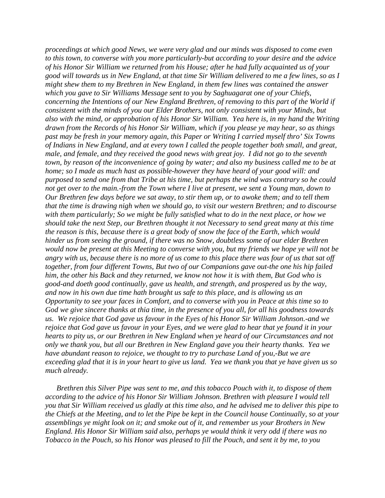*proceedings at which good News, we were very glad and our minds was disposed to come even to this town, to converse with you more particularly-but according to your desire and the advice of his Honor Sir William we returned from his House; after he had fully acquainted us of your good will towards us in New England, at that time Sir William delivered to me a few lines, so as I might shew them to my Brethren in New England, in them few lines was contained the answer which you gave to Sir Williams Message sent to you by Saghuagarat one of your Chiefs, concerning the Intentions of our New England Brethren, of removing to this part of the World if consistent with the minds of you our Elder Brothers, not only consistent with your Minds, but also with the mind, or approbation of his Honor Sir William. Yea here is, in my hand the Writing drawn from the Records of his Honor Sir William, which if you please ye may hear, so as things past may be fresh in your memory again, this Paper or Writing I carried myself thro' Six Towns of Indians in New England, and at every town I called the people together both small, and great, male, and female, and they received the good news with great joy. I did not go to the seventh town, by reason of the inconvenience of going by water; and also my business called me to be at home; so I made as much hast as possible-however they have heard of your good will: and purposed to send one from that Tribe at his time, but perhaps the wind was contrary so he could not get over to the main.-from the Town where I live at present, we sent a Young man, down to Our Brethren few days before we sat away, to stir them up, or to awoke them; and to tell them that the time is drawing nigh when we should go, to visit our western Brethren; and to discourse with them particularly; So we might be fully satisfied what to do in the next place, or how we should take the next Step, our Brethren thought it not Necessary to send great many at this time the reason is this, because there is a great body of snow the face of the Earth, which would hinder us from seeing the ground, if there was no Snow, doubtless some of our elder Brethren would now be present at this Meeting to converse with you, but my friends we hope ye will not be angry with us, because there is no more of us come to this place there was four of us that sat off together, from four different Towns, But two of our Companions gave out-the one his hip failed him, the other his Back and they returned, we know not how it is with them, But God who is good-and doeth good continually, gave us health, and strength, and prospered us by the way, and now in his own due time hath brought us safe to this place, and is allowing us an Opportunity to see your faces in Comfort, and to converse with you in Peace at this time so to God we give sincere thanks at thia time, in the presence of you all, for all his goodness towards us. We rejoice that God gave us favour in the Eyes of his Honor Sir William Johnson.-and we rejoice that God gave us favour in your Eyes, and we were glad to hear that ye found it in your hearts to pity us, or our Brethren in New England when ye heard of our Circumstances and not only we thank you, but all our Brethren in New England gave you their hearty thanks. Yea we have abundant reason to rejoice, we thought to try to purchase Land of you,-But we are exceeding glad that it is in your heart to give us land. Yea we thank you that ye have given us so much already.*

 *Brethren this Silver Pipe was sent to me, and this tobacco Pouch with it, to dispose of them according to the advice of his Honor Sir William Johnson. Brethren with pleasure I would tell you that Sir William received us gladly at this time also, and he advised me to deliver this pipe to the Chiefs at the Meeting, and to let the Pipe be kept in the Council house Continually, so at your assemblings ye might look on it; and smoke out of it, and remember us your Brothers in New England. His Honor Sir William said also, perhaps ye would think it very odd if there was no Tobacco in the Pouch, so his Honor was pleased to fill the Pouch, and sent it by me, to you*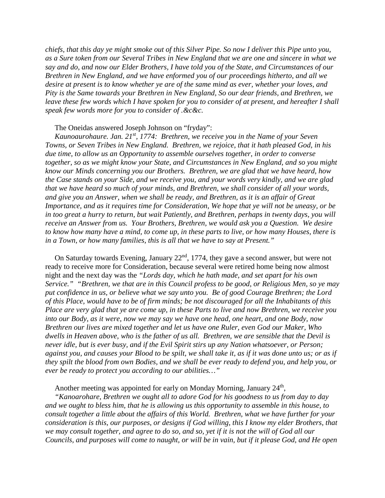*chiefs, that this day ye might smoke out of this Silver Pipe. So now I deliver this Pipe unto you, as a Sure token from our Several Tribes in New England that we are one and sincere in what we say and do, and now our Elder Brothers, I have told you of the State, and Circumstances of our Brethren in New England, and we have enformed you of our proceedings hitherto, and all we desire at present is to know whether ye are of the same mind as ever, whether your loves, and Pity is the Same towards your Brethren in New England, So our dear friends, and Brethren, we leave these few words which I have spoken for you to consider of at present, and hereafter I shall speak few words more for you to consider of .&c&c.*

#### The Oneidas answered Joseph Johnson on "fryday":

 *Kaunoaurohaure. Jan. 21st, 1774: Brethren, we receive you in the Name of your Seven Towns, or Seven Tribes in New England. Brethren, we rejoice, that it hath pleased God, in his due time, to allow us an Opportunity to assemble ourselves together, in order to converse together, so as we might know your State, and Circumstances in New England, and so you might know our Minds concerning you our Brothers. Brethren, we are glad that we have heard, how the Case stands on your Side, and we receive you, and your words very kindly, and we are glad that we have heard so much of your minds, and Brethren, we shall consider of all your words, and give you an Answer, when we shall be ready, and Brethren, as it is an affair of Great Importance, and as it requires time for Consideration, We hope that ye will not be uneasy, or be in too great a hurry to return, but wait Patiently, and Brethren, perhaps in twenty days, you will receive an Answer from us. Your Brothers, Brethren, we would ask you a Question. We desire to know how many have a mind, to come up, in these parts to live, or how many Houses, there is in a Town, or how many families, this is all that we have to say at Present."*

On Saturday towards Evening, January  $22<sup>nd</sup>$ , 1774, they gave a second answer, but were not ready to receive more for Consideration, because several were retired home being now almost night and the next day was the *"Lords day, which he hath made, and set apart for his own Service." "Brethren, we that are in this Council profess to be good, or Religious Men, so ye may put confidence in us, or believe what we say unto you. Be of good Courage Brethren; the Lord of this Place, would have to be of firm minds; be not discouraged for all the Inhabitants of this Place are very glad that ye are come up, in these Parts to live and now Brethren, we receive you into our Body, as it were, now we may say we have one head, one heart, and one Body, now Brethren our lives are mixed together and let us have one Ruler, even God our Maker, Who dwells in Heaven above, who is the father of us all. Brethren, we are sensible that the Devil is never idle, but is ever busy, and if the Evil Spirit stirs up any Nation whatsoever, or Person; against you, and causes your Blood to be spilt, we shall take it, as if it was done unto us; or as if they spilt the blood from own Bodies, and we shall be ever ready to defend you, and help you, or ever be ready to protect you according to our abilities…"*

### Another meeting was appointed for early on Monday Morning, January 24<sup>th</sup>,

 *"Kanoarohare, Brethren we ought all to adore God for his goodness to us from day to day and we ought to bless him, that he is allowing us this opportunity to assemble in this house, to consult together a little about the affairs of this World. Brethren, what we have further for your consideration is this, our purposes, or designs if God willing, this I know my elder Brothers, that we may consult together, and agree to do so, and so, yet if it is not the will of God all our Councils, and purposes will come to naught, or will be in vain, but if it please God, and He open*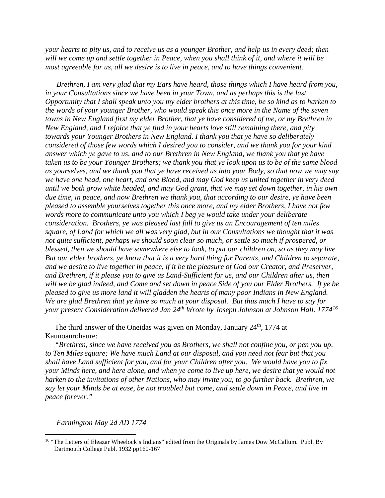*your hearts to pity us, and to receive us as a younger Brother, and help us in every deed; then will we come up and settle together in Peace, when you shall think of it, and where it will be most agreeable for us, all we desire is to live in peace, and to have things convenient.*

 *Brethren, I am very glad that my Ears have heard, those things which I have heard from you, in your Consultations since we have been in your Town, and as perhaps this is the last Opportunity that I shall speak unto you my elder brothers at this time, be so kind as to harken to the words of your younger Brother, who would speak this once more in the Name of the seven towns in New England first my elder Brother, that ye have considered of me, or my Brethren in New England, and I rejoice that ye find in your hearts love still remaining there, and pity towards your Younger Brothers in New England. I thank you that ye have so deliberately considered of those few words which I desired you to consider, and we thank you for your kind answer which ye gave to us, and to our Brethren in New England, we thank you that ye have taken us to be your Younger Brothers; we thank you that ye look upon us to be of the same blood as yourselves, and we thank you that ye have received us into your Body, so that now we may say we have one head, one heart, and one Blood, and may God keep us united together in very deed until we both grow white headed, and may God grant, that we may set down together, in his own due time, in peace, and now Brethren we thank you, that according to our desire, ye have been pleased to assemble yourselves together this once more, and my elder Brothers, I have not few words more to communicate unto you which I beg ye would take under your deliberate consideration. Brothers, ye was pleased last fall to give us an Encouragement of ten miles square, of Land for which we all was very glad, but in our Consultations we thought that it was not quite sufficient, perhaps we should soon clear so much, or settle so much if prospered, or blessed, then we should have somewhere else to look, to put our children on, so as they may live. But our elder brothers, ye know that it is a very hard thing for Parents, and Children to separate, and we desire to live together in peace, if it be the pleasure of God our Creator, and Preserver, and Brethren, if it please you to give us Land-Sufficient for us, and our Children after us, then will we be glad indeed, and Come and set down in peace Side of you our Elder Brothers. If ye be pleased to give us more land it will gladden the hearts of many poor Indians in New England. We are glad Brethren that ye have so much at your disposal. But thus much I have to say for your present Consideration delivered Jan 24th Wrote by Joseph Johnson at Johnson Hall. 1774[16](#page-12-0)*

The third answer of the Oneidas was given on Monday, January  $24<sup>th</sup>$ , 1774 at Kaunoaurohaure:

 *"Brethren, since we have received you as Brothers, we shall not confine you, or pen you up, to Ten Miles square; We have much Land at our disposal, and you need not fear but that you shall have Land sufficient for you, and for your Children after you. We would have you to fix your Minds here, and here alone, and when ye come to live up here, we desire that ye would not harken to the invitations of other Nations, who may invite you, to go further back. Brethren, we say let your Minds be at ease, be not troubled but come, and settle down in Peace, and live in peace forever."*

 *Farmington May 2d AD 1774*

<span id="page-12-0"></span><sup>&</sup>lt;sup>16</sup> "The Letters of Eleazar Wheelock's Indians" edited from the Originals by James Dow McCallum. Publ. By Dartmouth College Publ. 1932 pp160-167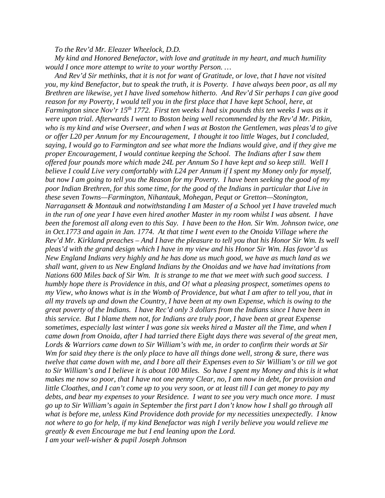*To the Rev'd Mr. Eleazer Wheelock, D.D.*

 *My kind and Honored Benefactor, with love and gratitude in my heart, and much humility would I once more attempt to write to your worthy Person. …*

 *And Rev'd Sir methinks, that it is not for want of Gratitude, or love, that I have not visited you, my kind Benefactor, but to speak the truth, it is Poverty. I have always been poor, as all my Brethren are likewise, yet I have lived somehow hitherto. And Rev'd Sir perhaps I can give good reason for my Poverty, I would tell you in the first place that I have kept School, here, at Farmington since Nov'r 15th 1772. First ten weeks I had six pounds this ten weeks I was as it were upon trial. Afterwards I went to Boston being well recommended by the Rev'd Mr. Pitkin, who is my kind and wise Overseer, and when I was at Boston the Gentlemen, was pleas'd to give or offer L20 per Annum for my Encouragement, I thought it too little Wages, but I concluded, saying, I would go to Farmington and see what more the Indians would give, and if they give me proper Encouragement, I would continue keeping the School. The Indians after I saw them offered four pounds more which made 24L per Annum So I have kept and so keep still. Well I believe I could Live very comfortably with L24 per Annum if I spent my Money only for myself, but now I am going to tell you the Reason for my Poverty. I have been seeking the good of my poor Indian Brethren, for this some time, for the good of the Indians in particular that Live in these seven Towns—Farmington, Nihantauk, Mohegan, Pequt or Gretton—Stonington, Narragansett & Montauk and notwithstanding I am Master of a School yet I have traveled much in the run of one year I have even hired another Master in my room whilst I was absent. I have been the foremost all along even to this Say. I have been to the Hon. Sir Wm. Johnson twice, one in Oct.1773 and again in Jan. 1774. At that time I went even to the Onoida Village where the Rev'd Mr. Kirkland preaches – And I have the pleasure to tell you that his Honor Sir Wm. Is well pleas'd with the grand design which I have in my view and his Honor Sir Wm. Has favor'd us New England Indians very highly and he has done us much good, we have as much land as we shall want, given to us New England Indians by the Onoidas and we have had invitations from Nations 600 Miles back of Sir Wm. It is strange to me that we meet with such good success. I humbly hope there is Providence in this, and O! what a pleasing prospect, sometimes opens to my View, who knows what is in the Womb of Providence, but what I am after to tell you, that in all my travels up and down the Country, I have been at my own Expense, which is owing to the great poverty of the Indians. I have Rec'd only 3 dollars from the Indians since I have been in this service. But I blame them not, for Indians are truly poor, I have been at great Expense sometimes, especially last winter I was gone six weeks hired a Master all the Time, and when I came down from Onoida, after I had tarried there Eight days there was several of the great men, Lords & Warriors came down to Sir William's with me, in order to confirm their words at Sir Wm for said they there is the only place to have all things done well, strong & sure, there was twelve that came down with me, and I bore all their Expenses even to Sir William's or till we got to Sir William's and I believe it is about 100 Miles. So have I spent my Money and this is it what makes me now so poor, that I have not one penny Clear, no, I am now in debt, for provision and little Cloathes, and I can't come up to you very soon, or at least till I can get money to pay my debts, and bear my expenses to your Residence. I want to see you very much once more. I must go up to Sir William's again in September the first part I don't know how I shall go through all what is before me, unless Kind Providence doth provide for my necessities unexpectedly. I know not where to go for help, if my kind Benefactor was nigh I verily believe you would relieve me greatly & even Encourage me but I end leaning upon the Lord. I am your well-wisher & pupil Joseph Johnson*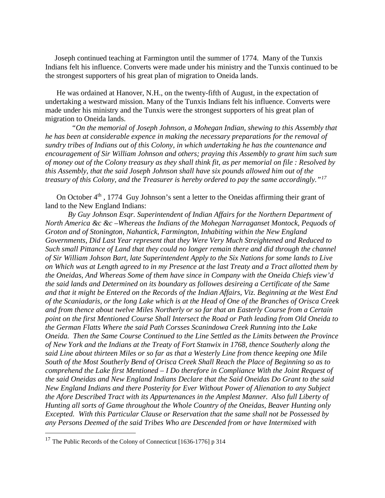Joseph continued teaching at Farmington until the summer of 1774. Many of the Tunxis Indians felt his influence. Converts were made under his ministry and the Tunxis continued to be the strongest supporters of his great plan of migration to Oneida lands.

 He was ordained at Hanover, N.H., on the twenty-fifth of August, in the expectation of undertaking a westward mission. Many of the Tunxis Indians felt his influence. Converts were made under his ministry and the Tunxis were the strongest supporters of his great plan of migration to Oneida lands.

 *"On the memorial of Joseph Johnson, a Mohegan Indian, shewing to this Assembly that he has been at considerable expence in making the necessary preparations for the removal of sundry tribes of Indians out of this Colony, in which undertaking he has the countenance and encouragement of Sir William Johnson and others; praying this Assembly to grant him such sum of money out of the Colony treasury as they shall think fit, as per memorial on file : Resolved by this Assembly, that the said Joseph Johnson shall have six pounds allowed him out of the treasury of this Colony, and the Treasurer is hereby ordered to pay the same accordingly."[17](#page-14-0)*

On October 4<sup>th</sup>, 1774 Guy Johnson's sent a letter to the Oneidas affirming their grant of land to the New England Indians:

*By Guy Johnson Esqr. Superintendent of Indian Affairs for the Northern Department of North America &c &c –Whereas the Indians of the Mohegan Narraganset Montock, Pequods of Groton and of Stonington, Nahantick, Farmington, Inhabiting within the New England Governments, Did Last Year represent that they Were Very Much Streightened and Reduced to Such small Pittance of Land that they could no longer remain there and did through the channel of Sir William Johson Bart, late Superintendent Apply to the Six Nations for some lands to Live on Which was at Length agreed to in my Presence at the last Treaty and a Tract allotted them by the Oneidas, And Whereas Some of them have since in Company with the Oneida Chiefs view'd the said lands and Determined on its boundary as followes desireing a Certificate of the Same and that it might be Entered on the Records of the Indian Affairs, Viz. Beginning at the West End of the Scaniadaris, or the long Lake which is at the Head of One of the Branches of Orisca Creek and from thence about twelve Miles Northerly or so far that an Easterly Course from a Certain point on the first Mentioned Course Shall Intersect the Road or Path leading from Old Oneida to the German Flatts Where the said Path Corsses Scanindowa Creek Running into the Lake Oneida. Then the Same Course Continued to the Line Settled as the Limits between the Province of New York and the Indians at the Treaty of Fort Stanwix in 1768, thence Southerly along the said Line about thirteen Miles or so far as that a Westerly Line from thence keeping one Mile South of the Most Southerly Bend of Orisca Creek Shall Reach the Place of Beginning so as to comprehend the Lake first Mentioned – I Do therefore in Compliance With the Joint Request of the said Oneidas and New England Indians Declare that the Said Oneidas Do Grant to the said New England Indians and there Posterity for Ever Without Power of Alienation to any Subject the Afore Described Tract with its Appurtenances in the Amplest Manner. Also full Liberty of Hunting all sorts of Game throughout the Whole Country of the Oneidas, Beaver Hunting only Excepted. With this Particular Clause or Reservation that the same shall not be Possessed by any Persons Deemed of the said Tribes Who are Descended from or have Intermixed with* 

<span id="page-14-0"></span><sup>&</sup>lt;sup>17</sup> The Public Records of the Colony of Connecticut [1636-1776] p 314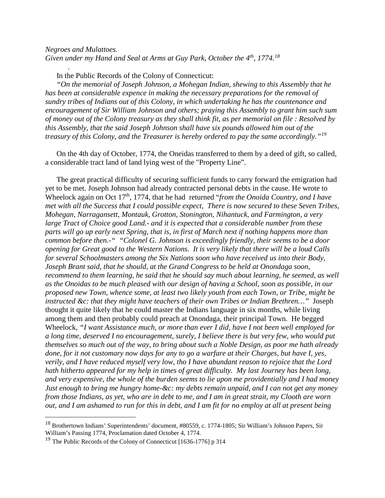## *Negroes and Mulattoes. Given under my Hand and Seal at Arms at Guy Park, October the 4th, 1774.[18](#page-15-0)*

In the Public Records of the Colony of Connecticut:

*.*

 *"On the memorial of Joseph Johnson, a Mohegan Indian, shewing to this Assembly that he has been at considerable expence in making the necessary preparations for the removal of sundry tribes of Indians out of this Colony, in which undertaking he has the countenance and encouragement of Sir William Johnson and others; praying this Assembly to grant him such sum of money out of the Colony treasury as they shall think fit, as per memorial on file : Resolved by this Assembly, that the said Joseph Johnson shall have six pounds allowed him out of the treasury of this Colony, and the Treasurer is hereby ordered to pay the same accordingly."[19](#page-15-1)*

 On the 4th day of October, 1774, the Oneidas transferred to them by a deed of gift, so called, a considerable tract land of land lying west of the "Property Line".

 The great practical difficulty of securing sufficient funds to carry forward the emigration had yet to be met. Joseph Johnson had already contracted personal debts in the cause. He wrote to Wheelock again on Oct 17<sup>th</sup>, 1774, that he had returned "*from the Onoida Country, and I have met with all the Success that I could possible expect, There is now secured to these Seven Tribes, Mohegan, Narragansett, Montauk, Grotton, Stonington, Nihantuck, and Farmington, a very large Tract of Choice good Land.- and it is expected that a considerable number from these parts will go up early next Spring, that is, in first of March next if nothing happens more than common before then.-" "Colonel G. Johnson is exceedingly friendly, their seems to be a door opening for Great good to the Western Nations. It is very likely that there will be a loud Calls for several Schoolmasters among the Six Nations soon who have received us into their Body, Joseph Brant said, that he should, at the Grand Congress to be held at Onondaga soon, recommend to them learning, he said that he should say much about learning, he seemed, as well as the Onoidas to be much pleased with our design of having a School, soon as possible, in our proposed new Town, whence some, at least two likely youth from each Town, or Tribe, might be instructed &c: that they might have teachers of their own Tribes or Indian Brethren...*" Joseph thought it quite likely that he could master the Indians language in six months, while living among them and then probably could preach at Onondaga, their principal Town. He begged Wheelock, *"I want Assistance much, or more than ever I did, have I not been well employed for a long time, deserved I no encouragement, surely, I believe there is but very few, who would put themselves so much out of the way, to bring about such a Noble Design, as poor me hath already done, for it not customary now days for any to go a warfare at their Charges, but have I, yes, verily, and I have reduced myself very low, tho I have abundant reason to rejoice that the Lord hath hitherto appeared for my help in times of great difficulty. My last Journey has been long, and very expensive, the whole of the burden seems to lie upon me providentially and I had money Just enough to bring me hungry home-&c: my debts remain unpaid, and I can not get any money from those Indians, as yet, who are in debt to me, and I am in great strait, my Clooth are worn out, and I am ashamed to run for this in debt, and I am fit for no employ at all at present being* 

<span id="page-15-0"></span> <sup>18</sup> Brothertown Indians' Superintendents' document, #80559, c. 1774-1805; Sir William's Johnson Papers, Sir William's Passing 1774, Proclamation dated October 4, 1774.

<span id="page-15-1"></span><sup>&</sup>lt;sup>19</sup> The Public Records of the Colony of Connecticut [1636-1776] p 314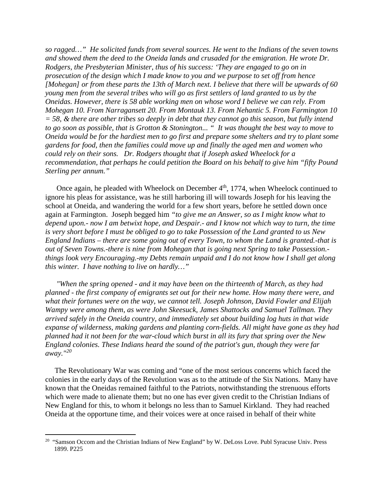*so ragged…" He solicited funds from several sources. He went to the Indians of the seven towns and showed them the deed to the Oneida lands and crusaded for the emigration. He wrote Dr. Rodgers, the Presbyterian Minister, thus of his success: 'They are engaged to go on in prosecution of the design which I made know to you and we purpose to set off from hence [Mohegan] or from these parts the 13th of March next. I believe that there will be upwards of 60 young men from the several tribes who will go as first settlers of land granted to us by the Oneidas. However, there is 58 able working men on whose word I believe we can rely. From Mohegan 10. From Narragansett 20. From Montauk 13. From Nehantic 5. From Farmington 10 = 58, & there are other tribes so deeply in debt that they cannot go this season, but fully intend to go soon as possible, that is Grotton & Stonington... " It was thought the best way to move to Oneida would be for the hardiest men to go first and prepare some shelters and try to plant some gardens for food, then the families could move up and finally the aged men and women who could rely on their sons. Dr. Rodgers thought that if Joseph asked Wheelock for a recommendation, that perhaps he could petition the Board on his behalf to give him "fifty Pound Sterling per annum."*

Once again, he pleaded with Wheelock on December  $4<sup>th</sup>$ , 1774, when Wheelock continued to ignore his pleas for assistance, was he still harboring ill will towards Joseph for his leaving the school at Oneida, and wandering the world for a few short years, before he settled down once again at Farmington. Joseph begged him *"to give me an Answer, so as I might know what to depend upon.- now I am betwixt hope, and Despair.- and I know not which way to turn, the time is very short before I must be obliged to go to take Possession of the Land granted to us New England Indians – there are some going out of every Town, to whom the Land is granted.-that is out of Seven Towns.-there is nine from Mohegan that is going next Spring to take Possession. things look very Encouraging.-my Debts remain unpaid and I do not know how I shall get along this winter. I have nothing to live on hardly…"*

 *"When the spring opened - and it may have been on the thirteenth of March, as they had planned - the first company of emigrants set out for their new home. How many there were, and what their fortunes were on the way, we cannot tell. Joseph Johnson, David Fowler and Elijah Wampy were among them, as were John Skeesuck, James Shattocks and Samuel Tallman. They arrived safely in the Oneida country, and immediately set about building log huts in that wide expanse of wilderness, making gardens and planting corn-fields. All might have gone as they had planned had it not been for the war-cloud which burst in all its fury that spring over the New England colonies. These Indians heard the sound of the patriot's gun, though they were far away."[20](#page-16-0)*

 The Revolutionary War was coming and "one of the most serious concerns which faced the colonies in the early days of the Revolution was as to the attitude of the Six Nations. Many have known that the Oneidas remained faithful to the Patriots, notwithstanding the strenuous efforts which were made to alienate them; but no one has ever given credit to the Christian Indians of New England for this, to whom it belongs no less than to Samuel Kirkland. They had reached Oneida at the opportune time, and their voices were at once raised in behalf of their white

<span id="page-16-0"></span><sup>&</sup>lt;sup>20</sup> "Samson Occom and the Christian Indians of New England" by W. DeLoss Love. Publ Syracuse Univ. Press 1899. P225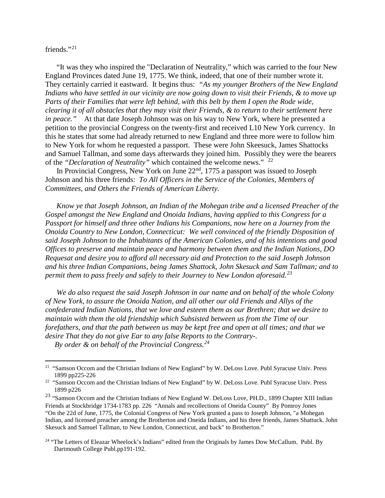friends."<sup>[21](#page-17-0)</sup>

 "It was they who inspired the "Declaration of Neutrality," which was carried to the four New England Provinces dated June 19, 1775. We think, indeed, that one of their number wrote it. They certainly carried it eastward. It begins thus: *"As my younger Brothers of the New England Indians who have settled in our vicinity are now going down to visit their Friends, & to move up Parts of their Families that were left behind, with this belt by them I open the Rode wide, clearing it of all obstacles that they may visit their Friends, & to return to their settlement here in peace."* At that date Joseph Johnson was on his way to New York, where he presented a petition to the provincial Congress on the twenty-first and received L10 New York currency. In this he states that some had already returned to new England and three more were to follow him to New York for whom he requested a passport. These were John Skeesuck, James Shattocks and Samuel Tallman, and some days afterwards they joined him. Possibly they were the bearers of the *"Declaration of Neutrality"* which contained the welcome news."<sup>22</sup>

In Provincial Congress, New York on June 22<sup>nd</sup>, 1775 a passport was issued to Joseph Johnson and his three friends: *To All Officers in the Service of the Colonies, Members of Committees, and Others the Friends of American Liberty.*

 *Know ye that Joseph Johnson, an Indian of the Mohegan tribe and a licensed Preacher of the Gospel amongst the New England and Onoida Indians, having applied to this Congress for a Passport for himself and three other Indians his Companions, now here on a Journey from the Onoida Country to New London, Connecticut: We well convinced of the friendly Disposition of said Joseph Johnson to the Inhabitants of the American Colonies, and of his intentions and good Offices to preserve and maintain peace and harmony between them and the Indian Nations, DO Requesat and desire you to afford all necessary aid and Protection to the said Joseph Johnson and his three Indian Companions, being James Shattock, John Skesuck and Sam Tallman; and to permit them to pass freely and safely to their Journey to New London aforesaid.[23](#page-17-2)*

 *We do also request the said Joseph Johnson in our name and on behalf of the whole Colony of New York, to assure the Onoida Nation, and all other our old Friends and Allys of the confederated Indian Nations, that we love and esteem them as our Brethren; that we desire to maintain with them the old friendship which Subsisted between us from the Time of our forefathers, and that the path between us may be kept free and open at all times; and that we desire That they do not give Ear to any false Reports to the Contrary-.*

 *By order & on behalf of the Provincial Congress.[24](#page-17-3)*

<span id="page-17-0"></span><sup>&</sup>lt;sup>21</sup> "Samson Occom and the Christian Indians of New England" by W. DeLoss Love. Publ Syracuse Univ. Press 1899 pp225-226

<span id="page-17-1"></span><sup>&</sup>lt;sup>22</sup> "Samson Occom and the Christian Indians of New England" by W. DeLoss Love. Publ Syracuse Univ. Press 1899 p226

<span id="page-17-2"></span><sup>&</sup>lt;sup>23</sup> "Samson Occom and the Christian Indians of New England W. DeLoss Love, PH.D., 1899 Chapter XIII Indian Friends at Stockbridge 1734-1783 pp. 226 "Annals and recollections of Oneida County" By Pomroy Jones "On the 22d of June, 1775, the Colonial Congress of New York grunted a pass to Joseph Johnson, "a Mohegan Indian, and licensed preacher among the Brotherton and Oneida Indians, and his three friends, James Shattuck. John Skesuck and Samuel Tallman, to New London, Connecticut, and back" to Brotherton."

<span id="page-17-3"></span><sup>&</sup>lt;sup>24</sup> "The Letters of Eleazar Wheelock's Indians" edited from the Originals by James Dow McCallum. Publ. By Dartmouth College Publ.pp191-192.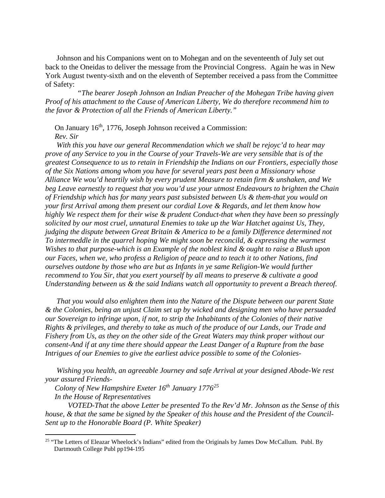Johnson and his Companions went on to Mohegan and on the seventeenth of July set out back to the Oneidas to deliver the message from the Provincial Congress. Again he was in New York August twenty-sixth and on the eleventh of September received a pass from the Committee of Safety:

 *"The bearer Joseph Johnson an Indian Preacher of the Mohegan Tribe having given Proof of his attachment to the Cause of American Liberty, We do therefore recommend him to the favor & Protection of all the Friends of American Liberty."*

On January 16<sup>th</sup>, 1776, Joseph Johnson received a Commission:  *Rev. Sir*

 *With this you have our general Recommendation which we shall be rejoyc'd to hear may prove of any Service to you in the Course of your Travels-We are very sensible that is of the greatest Consequence to us to retain in Friendship the Indians on our Frontiers, especially those of the Six Nations among whom you have for several years past been a Missionary whose Alliance We wou'd heartily wish by every prudent Measure to retain firm & unshaken, and We beg Leave earnestly to request that you wou'd use your utmost Endeavours to brighten the Chain of Friendship which has for many years past subsisted between Us & them-that you would on your first Arrival among them present our cordial Love & Regards, and let them know how highly We respect them for their wise & prudent Conduct-that when they have been so pressingly solicited by our most cruel, unnatural Enemies to take up the War Hatchet against Us, They, judging the dispute between Great Britain & America to be a family Difference determined not To intermeddle in the quarrel hoping We might soon be reconcild, & expressing the warmest Wishes to that purpose-which is an Example of the noblest kind & ought to raise a Blush upon our Faces, when we, who profess a Religion of peace and to teach it to other Nations, find ourselves outdone by those who are but as Infants in ye same Religion-We would further recommend to You Sir, that you exert yourself by all means to preserve & cultivate a good Understanding between us & the said Indians watch all opportunity to prevent a Breach thereof.*

 *That you would also enlighten them into the Nature of the Dispute between our parent State & the Colonies, being an unjust Claim set up by wicked and designing men who have persuaded our Sovereign to infringe upon, if not, to strip the Inhabitants of the Colonies of their native Rights & privileges, and thereby to take as much of the produce of our Lands, our Trade and Fishery from Us, as they on the other side of the Great Waters may think proper without our consent-And if at any time there should appear the Least Danger of a Rupture from the base Intrigues of our Enemies to give the earliest advice possible to some of the Colonies-* 

 *Wishing you health, an agreeable Journey and safe Arrival at your designed Abode-We rest your assured Friends-*

 *Colony of New Hampshire Exeter 16th January 1776[25](#page-18-0)*

 *In the House of Representatives*

*VOTED-That the above Letter be presented To the Rev'd Mr. Johnson as the Sense of this house, & that the same be signed by the Speaker of this house and the President of the Council-Sent up to the Honorable Board (P. White Speaker)* 

<span id="page-18-0"></span><sup>&</sup>lt;sup>25</sup> "The Letters of Eleazar Wheelock's Indians" edited from the Originals by James Dow McCallum. Publ. By Dartmouth College Publ pp194-195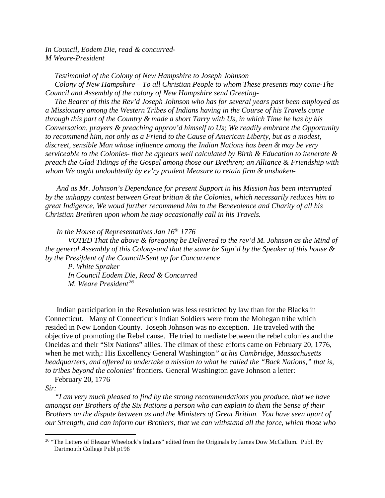*In Council, Eodem Die, read & concurred-M Weare-President*

 *Testimonial of the Colony of New Hampshire to Joseph Johnson Colony of New Hampshire – To all Christian People to whom These presents may come-The Council and Assembly of the colony of New Hampshire send Greeting-*

 *The Bearer of this the Rev'd Joseph Johnson who has for several years past been employed as a Missionary among the Western Tribes of Indians having in the Course of his Travels come through this part of the Country & made a short Tarry with Us, in which Time he has by his Conversation, prayers & preaching approv'd himself to Us; We readily embrace the Opportunity to recommend him, not only as a Friend to the Cause of American Liberty, but as a modest, discreet, sensible Man whose influence among the Indian Nations has been & may be very serviceable to the Colonies- that he appears well calculated by Birth & Education to itenerate & preach the Glad Tidings of the Gospel among those our Brethren; an Alliance & Friendship with whom We ought undoubtedly by ev'ry prudent Measure to retain firm & unshaken-*

 *And as Mr. Johnson's Dependance for present Support in his Mission has been interrupted by the unhappy contest between Great britian & the Colonies, which necessarily reduces him to great Indigence, We woud further recommend him to the Benevolence and Charity of all his Christian Brethren upon whom he may occasionally call in his Travels.*

 *In the House of Representatives Jan 16th 1776*

*VOTED That the above & foregoing be Delivered to the rev'd M. Johnson as the Mind of the general Assembly of this Colony-and that the same be Sign'd by the Speaker of this house & by the Presifdent of the Councill-Sent up for Concurrence*

*P. White Spraker In Council Eodem Die, Read & Concurred M. Weare President[26](#page-19-0)*

 Indian participation in the Revolution was less restricted by law than for the Blacks in Connecticut. Many of Connecticut's Indian Soldiers were from the Mohegan tribe which resided in New London County. Joseph Johnson was no exception. He traveled with the objective of promoting the Rebel cause. He tried to mediate between the rebel colonies and the Oneidas and their "Six Nations" allies. The climax of these efforts came on February 20, 1776, when he met with,: His Excellency General Washington*" at his Cambridge, Massachusetts headquarters, and offered to undertake a mission to what he called the "Back Nations," that is, to tribes beyond the colonies'* frontiers. General Washington gave Johnson a letter:

February 20, 1776

*Sir:*

 *"I am very much pleased to find by the strong recommendations you produce, that we have amongst our Brothers of the Six Nations a person who can explain to them the Sense of their Brothers on the dispute between us and the Ministers of Great Britian. You have seen apart of our Strength, and can inform our Brothers, that we can withstand all the force, which those who* 

<span id="page-19-0"></span><sup>&</sup>lt;sup>26</sup> "The Letters of Eleazar Wheelock's Indians" edited from the Originals by James Dow McCallum. Publ. By Dartmouth College Publ p196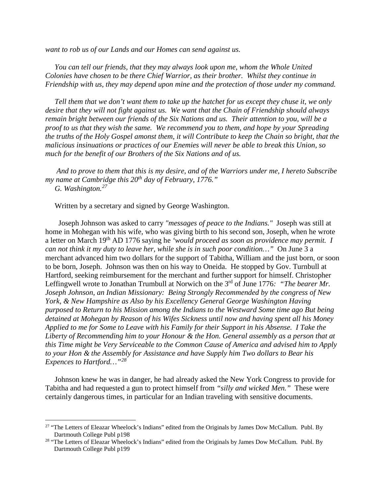*want to rob us of our Lands and our Homes can send against us.*

 *You can tell our friends, that they may always look upon me, whom the Whole United Colonies have chosen to be there Chief Warrior, as their brother. Whilst they continue in Friendship with us, they may depend upon mine and the protection of those under my command.*

 *Tell them that we don't want them to take up the hatchet for us except they chuse it, we only desire that they will not fight against us. We want that the Chain of Friendship should always remain bright between our friends of the Six Nations and us. Their attention to you, will be a proof to us that they wish the same. We recommend you to them, and hope by your Spreading the truths of the Holy Gospel amonst them, it will Contribute to keep the Chain so bright, that the malicious insinuations or practices of our Enemies will never be able to break this Union, so much for the benefit of our Brothers of the Six Nations and of us.*

 *And to prove to them that this is my desire, and of the Warriors under me, I hereto Subscribe my name at Cambridge this 20th day of February, 1776." G. Washington.[27](#page-20-0)*

Written by a secretary and signed by George Washington.

 Joseph Johnson was asked to carry *"messages of peace to the Indians."* Joseph was still at home in Mohegan with his wife, who was giving birth to his second son, Joseph, when he wrote a letter on March 19th AD 1776 saying he *'would proceed as soon as providence may permit. I can not think it my duty to leave her, while she is in such poor condition…"* On June 3 a merchant advanced him two dollars for the support of Tabitha, William and the just born, or soon to be born, Joseph. Johnson was then on his way to Oneida. He stopped by Gov. Turnbull at Hartford, seeking reimbursement for the merchant and further support for himself. Christopher Leffingwell wrote to Jonathan Trumbull at Norwich on the 3<sup>rd</sup> of June 1776*: "The bearer Mr. Joseph Johnson, an Indian Missionary: Being Strongly Recommended by the congress of New York, & New Hampshire as Also by his Excellency General George Washington Having purposed to Return to his Mission among the Indians to the Westward Some time ago But being detained at Mohegan by Reason of his Wifes Sickness until now and having spent all his Money Applied to me for Some to Leave with his Family for their Support in his Absense. I Take the Liberty of Recommending him to your Honour & the Hon. General assembly as a person that at this Time might be Very Serviceable to the Common Cause of America and advised him to Apply to your Hon & the Assembly for Assistance and have Supply him Two dollars to Bear his Expences to Hartford…"[28](#page-20-1)*

 Johnson knew he was in danger, he had already asked the New York Congress to provide for Tabitha and had requested a gun to protect himself from *"silly and wicked Men."* These were certainly dangerous times, in particular for an Indian traveling with sensitive documents.

<span id="page-20-0"></span><sup>&</sup>lt;sup>27</sup> "The Letters of Eleazar Wheelock's Indians" edited from the Originals by James Dow McCallum. Publ. By Dartmouth College Publ p198

<span id="page-20-1"></span><sup>&</sup>lt;sup>28</sup> "The Letters of Eleazar Wheelock's Indians" edited from the Originals by James Dow McCallum. Publ. By Dartmouth College Publ p199